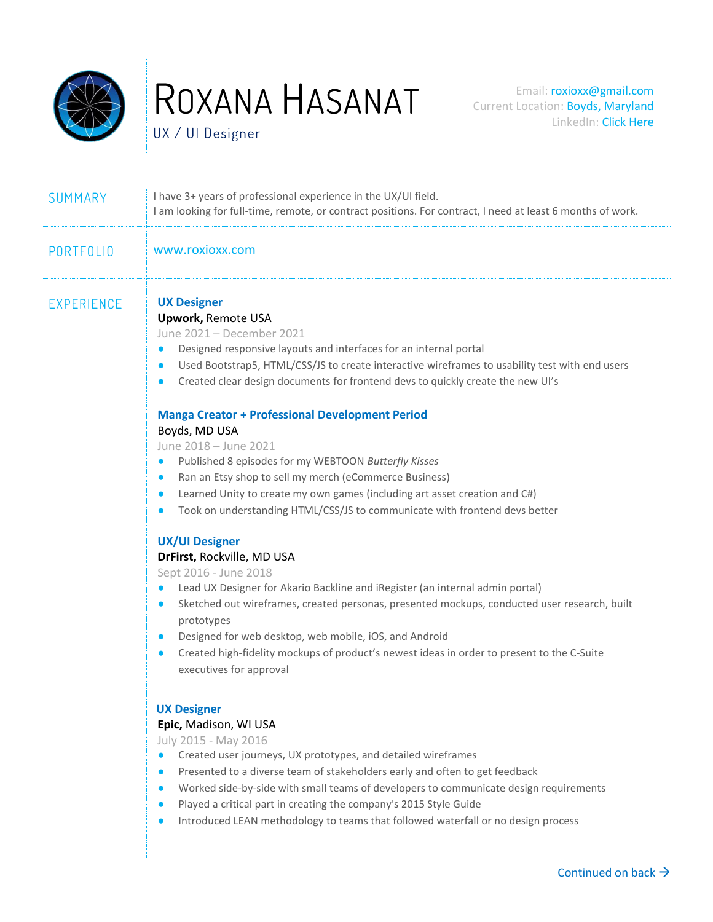

UX / UI Designer

| SUMMARY           | I have 3+ years of professional experience in the UX/UI field.<br>I am looking for full-time, remote, or contract positions. For contract, I need at least 6 months of work.                                                                                                                                                                                                                                                                                                                                                                                                                                                                                                                                                                                                                                                                                                                                                                                                                                                                                                                                                                                                                                                                                                                                                                       |  |  |  |
|-------------------|----------------------------------------------------------------------------------------------------------------------------------------------------------------------------------------------------------------------------------------------------------------------------------------------------------------------------------------------------------------------------------------------------------------------------------------------------------------------------------------------------------------------------------------------------------------------------------------------------------------------------------------------------------------------------------------------------------------------------------------------------------------------------------------------------------------------------------------------------------------------------------------------------------------------------------------------------------------------------------------------------------------------------------------------------------------------------------------------------------------------------------------------------------------------------------------------------------------------------------------------------------------------------------------------------------------------------------------------------|--|--|--|
| <b>PORTFOLIO</b>  | www.roxioxx.com                                                                                                                                                                                                                                                                                                                                                                                                                                                                                                                                                                                                                                                                                                                                                                                                                                                                                                                                                                                                                                                                                                                                                                                                                                                                                                                                    |  |  |  |
| <b>EXPERIENCE</b> | <b>UX Designer</b><br><b>Upwork, Remote USA</b><br>June 2021 - December 2021<br>Designed responsive layouts and interfaces for an internal portal<br>$\bullet$<br>Used Bootstrap5, HTML/CSS/JS to create interactive wireframes to usability test with end users<br>$\bullet$<br>Created clear design documents for frontend devs to quickly create the new UI's<br>$\bullet$<br><b>Manga Creator + Professional Development Period</b><br>Boyds, MD USA<br>June 2018 - June 2021<br>Published 8 episodes for my WEBTOON Butterfly Kisses<br>$\bullet$<br>Ran an Etsy shop to sell my merch (eCommerce Business)<br>$\bullet$<br>Learned Unity to create my own games (including art asset creation and C#)<br>$\bullet$<br>Took on understanding HTML/CSS/JS to communicate with frontend devs better<br>$\bullet$<br><b>UX/UI Designer</b><br>DrFirst, Rockville, MD USA<br>Sept 2016 - June 2018<br>Lead UX Designer for Akario Backline and iRegister (an internal admin portal)<br>Sketched out wireframes, created personas, presented mockups, conducted user research, built<br>$\bullet$<br>prototypes<br>Designed for web desktop, web mobile, iOS, and Android<br>$\bullet$<br>Created high-fidelity mockups of product's newest ideas in order to present to the C-Suite<br>$\bullet$<br>executives for approval<br><b>UX Designer</b> |  |  |  |
|                   | Epic, Madison, WI USA<br>July 2015 - May 2016<br>Created user journeys, UX prototypes, and detailed wireframes<br>Presented to a diverse team of stakeholders early and often to get feedback<br>$\bullet$<br>Worked side-by-side with small teams of developers to communicate design requirements<br>$\bullet$<br>Played a critical part in creating the company's 2015 Style Guide<br>$\bullet$<br>Introduced LEAN methodology to teams that followed waterfall or no design process<br>$\bullet$                                                                                                                                                                                                                                                                                                                                                                                                                                                                                                                                                                                                                                                                                                                                                                                                                                               |  |  |  |